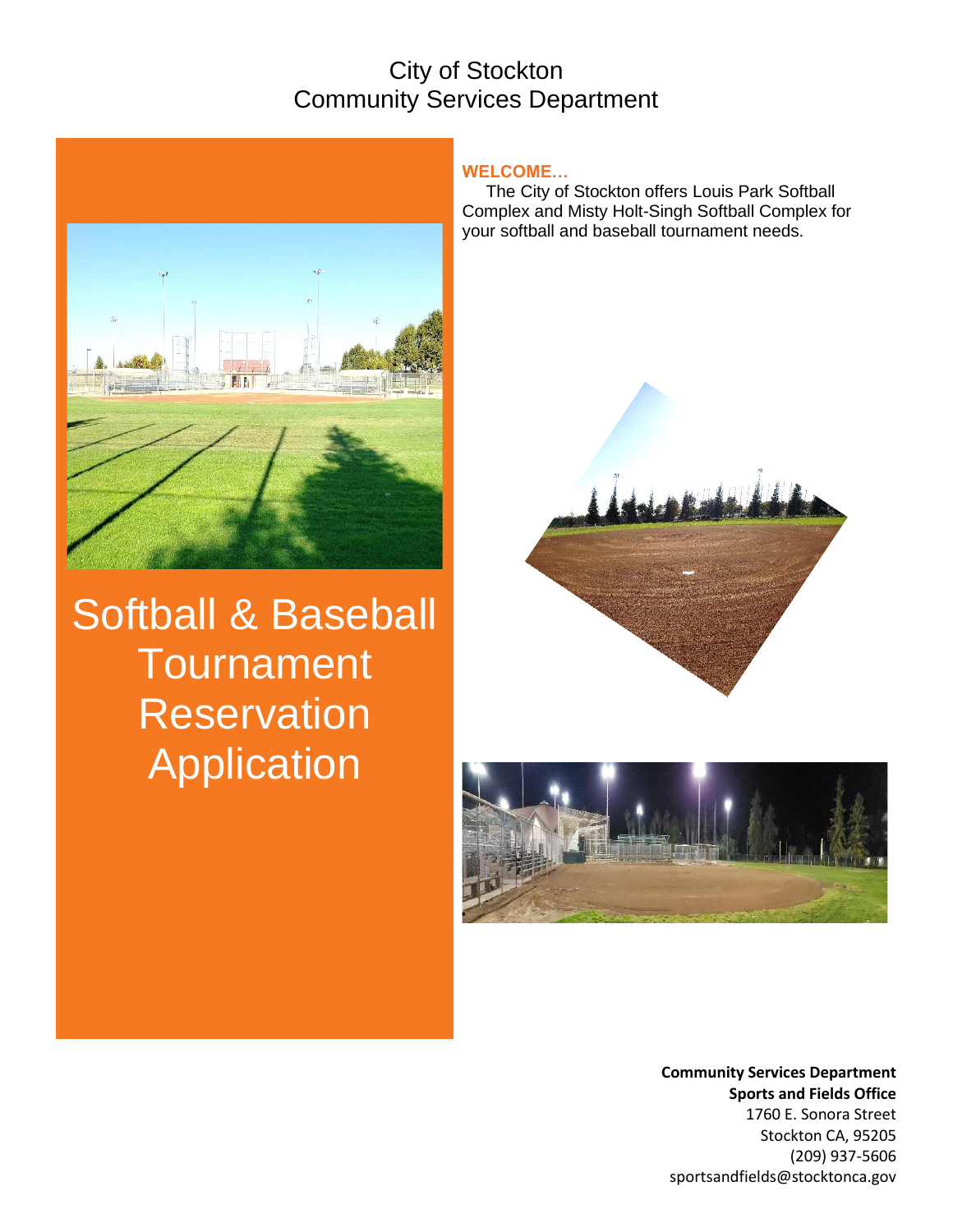## City of Stockton Community Services Department



Softball & Baseball **Tournament Reservation Application** 

#### **WELCOME…**

 The City of Stockton offers Louis Park Softball Complex and Misty Holt-Singh Softball Complex for your softball and baseball tournament needs.





**Community Services Department Sports and Fields Office** 1760 E. Sonora Street Stockton CA, 95205 (209) 937-5606 sportsandfields@stocktonca.gov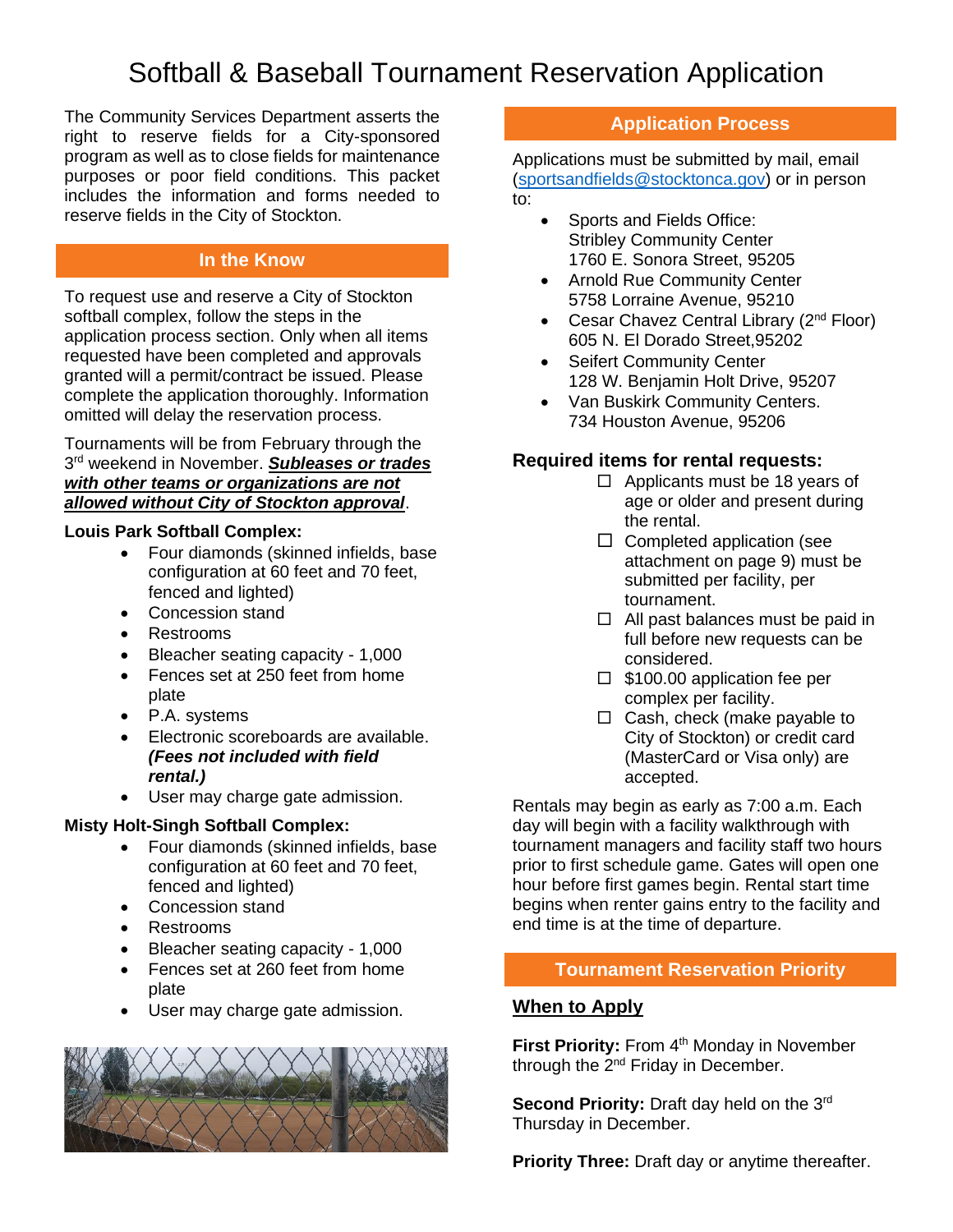The Community Services Department asserts the right to reserve fields for a City-sponsored program as well as to close fields for maintenance purposes or poor field conditions. This packet includes the information and forms needed to reserve fields in the City of Stockton.

## **In the Know**

To request use and reserve a City of Stockton softball complex, follow the steps in the application process section. Only when all items requested have been completed and approvals granted will a permit/contract be issued. Please complete the application thoroughly. Information omitted will delay the reservation process.

Tournaments will be from February through the 3 rd weekend in November. *Subleases or trades with other teams or organizations are not allowed without City of Stockton approval*.

#### **Louis Park Softball Complex:**

- Four diamonds (skinned infields, base configuration at 60 feet and 70 feet, fenced and lighted)
- Concession stand
- Restrooms
- Bleacher seating capacity 1,000
- Fences set at 250 feet from home plate
- P.A. systems
- Electronic scoreboards are available. *(Fees not included with field rental.)*
- User may charge gate admission.

#### **Misty Holt-Singh Softball Complex:**

- Four diamonds (skinned infields, base configuration at 60 feet and 70 feet, fenced and lighted)
- Concession stand
- Restrooms
- Bleacher seating capacity 1,000
- Fences set at 260 feet from home plate
- User may charge gate admission.



#### **Application Process**

Applications must be submitted by mail, email [\(sportsandfields@stocktonca.gov\)](mailto:sportsandfields@stocktonca.gov) or in person to:

- Sports and Fields Office: Stribley Community Center 1760 E. Sonora Street, 95205
- Arnold Rue Community Center 5758 Lorraine Avenue, 95210
- Cesar Chavez Central Library (2<sup>nd</sup> Floor) 605 N. El Dorado Street,95202
- Seifert Community Center 128 W. Benjamin Holt Drive, 95207
- Van Buskirk Community Centers. 734 Houston Avenue, 95206

#### **Required items for rental requests:**

- $\Box$  Applicants must be 18 years of age or older and present during the rental.
- $\Box$  Completed application (see attachment on page 9) must be submitted per facility, per tournament.
- $\Box$  All past balances must be paid in full before new requests can be considered.
- $\Box$  \$100.00 application fee per complex per facility.
- $\Box$  Cash, check (make payable to City of Stockton) or credit card (MasterCard or Visa only) are accepted.

Rentals may begin as early as 7:00 a.m. Each day will begin with a facility walkthrough with tournament managers and facility staff two hours prior to first schedule game. Gates will open one hour before first games begin. Rental start time begins when renter gains entry to the facility and end time is at the time of departure.

#### **Tournament Reservation Priority**

#### **When to Apply**

**First Priority:** From 4<sup>th</sup> Monday in November through the 2<sup>nd</sup> Friday in December.

Second Priority: Draft day held on the 3rd Thursday in December.

**Priority Three:** Draft day or anytime thereafter.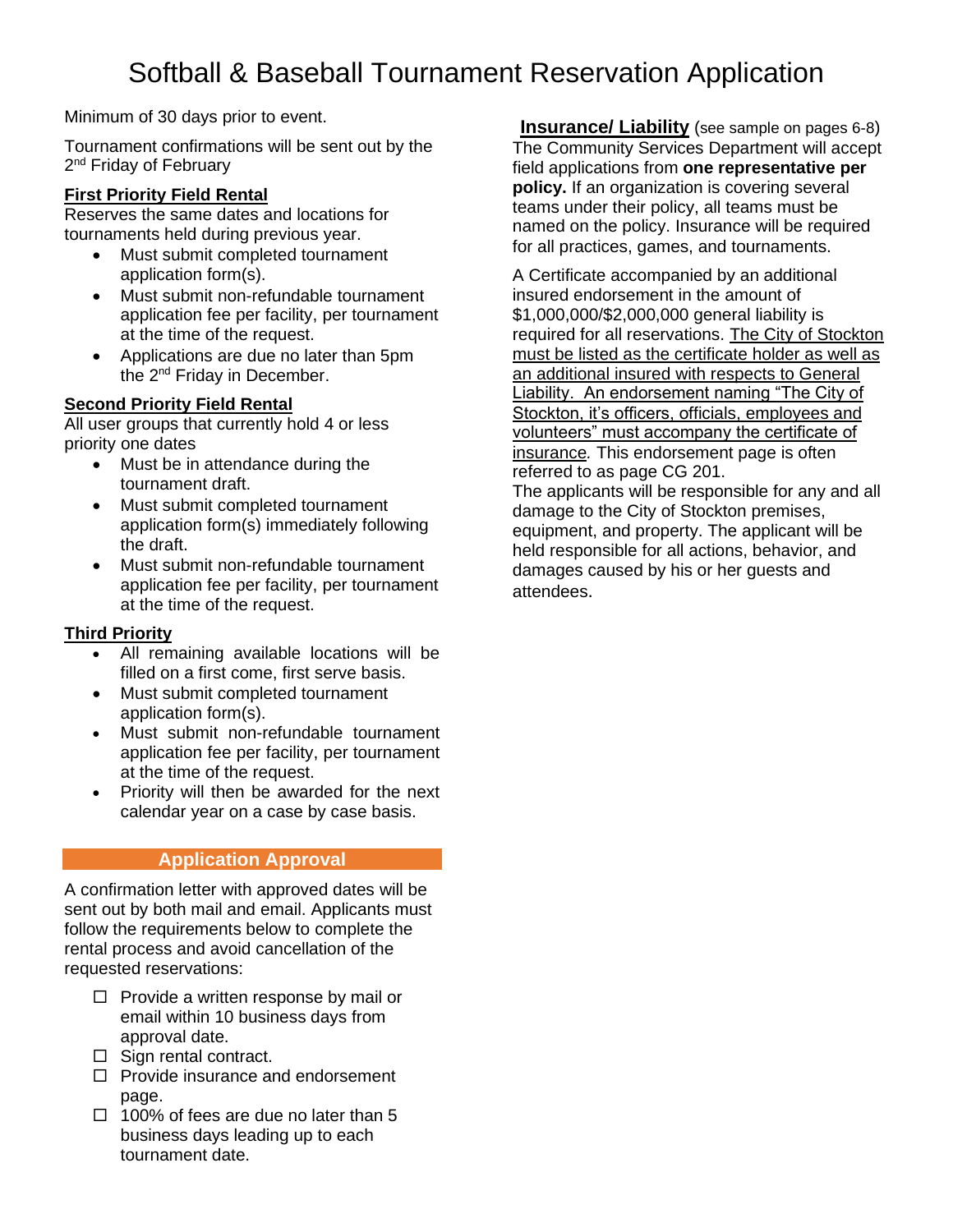Minimum of 30 days prior to event.

Tournament confirmations will be sent out by the 2<sup>nd</sup> Friday of February

#### **First Priority Field Rental**

Reserves the same dates and locations for tournaments held during previous year.

- Must submit completed tournament application form(s).
- Must submit non-refundable tournament application fee per facility, per tournament at the time of the request.
- Applications are due no later than 5pm the 2<sup>nd</sup> Friday in December.

## **Second Priority Field Rental**

All user groups that currently hold 4 or less priority one dates

- Must be in attendance during the tournament draft.
- Must submit completed tournament application form(s) immediately following the draft.
- Must submit non-refundable tournament application fee per facility, per tournament at the time of the request.

#### **Third Priority**

- All remaining available locations will be filled on a first come, first serve basis.
- Must submit completed tournament application form(s).
- Must submit non-refundable tournament application fee per facility, per tournament at the time of the request.
- Priority will then be awarded for the next calendar year on a case by case basis.

#### **Application Approval**

A confirmation letter with approved dates will be sent out by both mail and email. Applicants must follow the requirements below to complete the rental process and avoid cancellation of the requested reservations:

- $\Box$  Provide a written response by mail or email within 10 business days from approval date.
- $\Box$  Sign rental contract.
- $\Box$  Provide insurance and endorsement page.
- $\Box$  100% of fees are due no later than 5 business days leading up to each tournament date.

**Insurance/ Liability** (see sample on pages 6-8) The Community Services Department will accept field applications from **one representative per policy.** If an organization is covering several teams under their policy, all teams must be named on the policy. Insurance will be required for all practices, games, and tournaments.

A Certificate accompanied by an additional insured endorsement in the amount of \$1,000,000/\$2,000,000 general liability is required for all reservations. The City of Stockton must be listed as the certificate holder as well as an additional insured with respects to General Liability. An endorsement naming "The City of Stockton, it's officers, officials, employees and volunteers" must accompany the certificate of insurance*.* This endorsement page is often referred to as page CG 201.

The applicants will be responsible for any and all damage to the City of Stockton premises, equipment, and property. The applicant will be held responsible for all actions, behavior, and damages caused by his or her guests and attendees.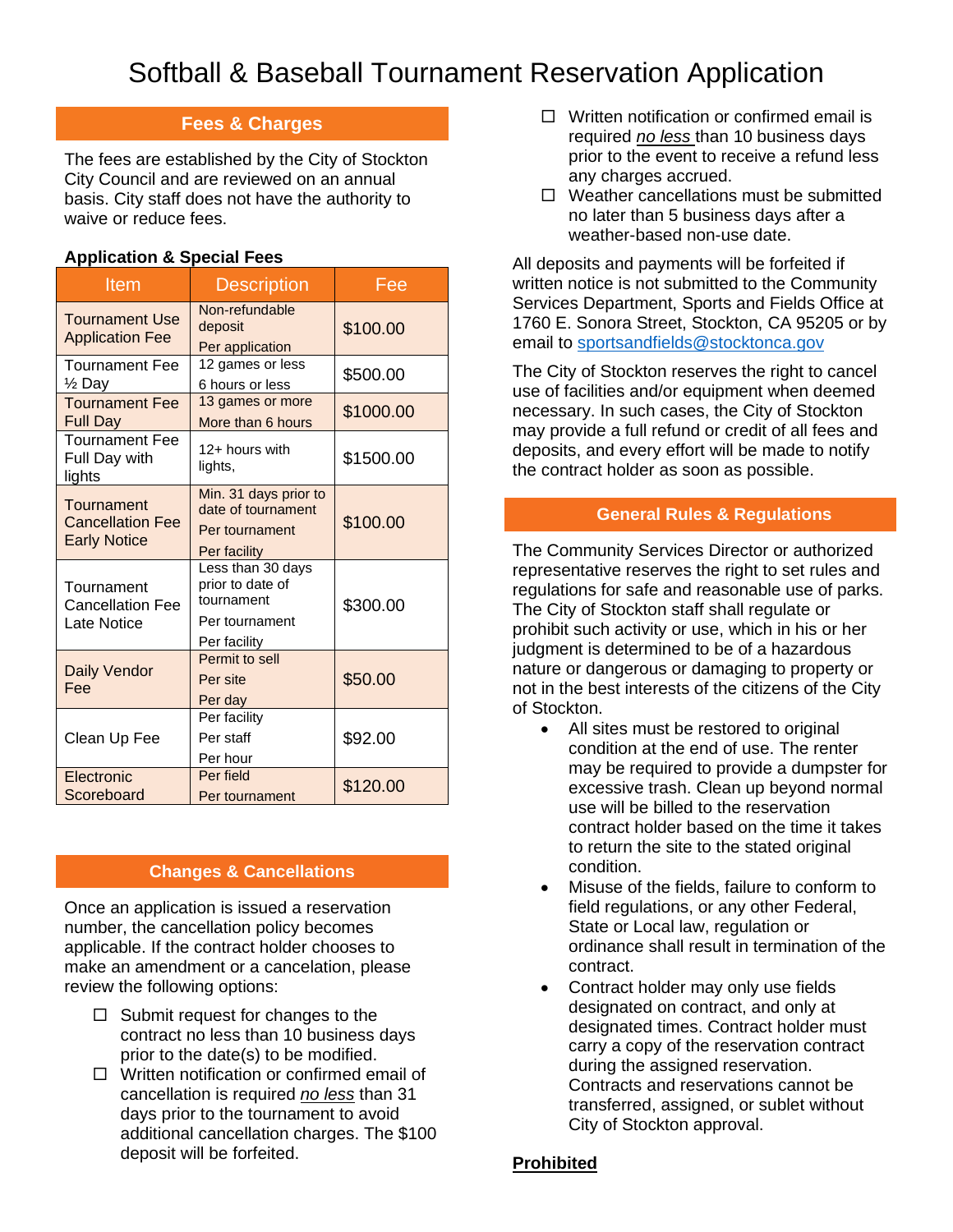## **Fees & Charges**

The fees are established by the City of Stockton City Council and are reviewed on an annual basis. City staff does not have the authority to waive or reduce fees.

## **Application & Special Fees**

| <b>Item</b>                                                  | <b>Description</b>                                                                    | Fee       |  |  |
|--------------------------------------------------------------|---------------------------------------------------------------------------------------|-----------|--|--|
| <b>Tournament Use</b><br><b>Application Fee</b>              | Non-refundable<br>deposit<br>Per application                                          | \$100.00  |  |  |
| <b>Tournament Fee</b><br>1/ <sub>2</sub> Day                 | 12 games or less<br>6 hours or less                                                   | \$500.00  |  |  |
| <b>Tournament Fee</b><br>Full Day                            | 13 games or more<br>More than 6 hours                                                 | \$1000.00 |  |  |
| <b>Tournament Fee</b><br>Full Day with<br>lights             | 12+ hours with<br>lights,                                                             | \$1500.00 |  |  |
| Tournament<br><b>Cancellation Fee</b><br><b>Early Notice</b> | Min. 31 days prior to<br>date of tournament<br>Per tournament<br>Per facility         | \$100.00  |  |  |
| Tournament<br><b>Cancellation Fee</b><br>Late Notice         | Less than 30 days<br>prior to date of<br>tournament<br>Per tournament<br>Per facility | \$300.00  |  |  |
| Daily Vendor<br>Fee                                          | Permit to sell<br>Per site<br>Per day                                                 | \$50.00   |  |  |
| Clean Up Fee                                                 | Per facility<br>Per staff<br>Per hour                                                 | \$92.00   |  |  |
| Electronic<br>Scoreboard                                     | Per field<br>Per tournament                                                           |           |  |  |

#### **Changes & Cancellations**

Once an application is issued a reservation number, the cancellation policy becomes applicable. If the contract holder chooses to make an amendment or a cancelation, please review the following options:

- $\Box$  Submit request for changes to the contract no less than 10 business days prior to the date(s) to be modified.
- $\Box$  Written notification or confirmed email of cancellation is required *no less* than 31 days prior to the tournament to avoid additional cancellation charges. The \$100 deposit will be forfeited.
- $\Box$  Written notification or confirmed email is required *no less* than 10 business days prior to the event to receive a refund less any charges accrued.
- $\Box$  Weather cancellations must be submitted no later than 5 business days after a weather-based non-use date.

All deposits and payments will be forfeited if written notice is not submitted to the Community Services Department, Sports and Fields Office at 1760 E. Sonora Street, Stockton, CA 95205 or by email to [sportsandfields@stocktonca.gov](mailto:sportsandfields@stocktonca.gov)

The City of Stockton reserves the right to cancel use of facilities and/or equipment when deemed necessary. In such cases, the City of Stockton may provide a full refund or credit of all fees and deposits, and every effort will be made to notify the contract holder as soon as possible.

## **General Rules & Regulations**

The Community Services Director or authorized representative reserves the right to set rules and regulations for safe and reasonable use of parks. The City of Stockton staff shall regulate or prohibit such activity or use, which in his or her judgment is determined to be of a hazardous nature or dangerous or damaging to property or not in the best interests of the citizens of the City of Stockton.

- All sites must be restored to original condition at the end of use. The renter may be required to provide a dumpster for excessive trash. Clean up beyond normal use will be billed to the reservation contract holder based on the time it takes to return the site to the stated original condition.
- Misuse of the fields, failure to conform to field regulations, or any other Federal, State or Local law, regulation or ordinance shall result in termination of the contract.
- Contract holder may only use fields designated on contract, and only at designated times. Contract holder must carry a copy of the reservation contract during the assigned reservation. Contracts and reservations cannot be transferred, assigned, or sublet without City of Stockton approval.

#### **Prohibited**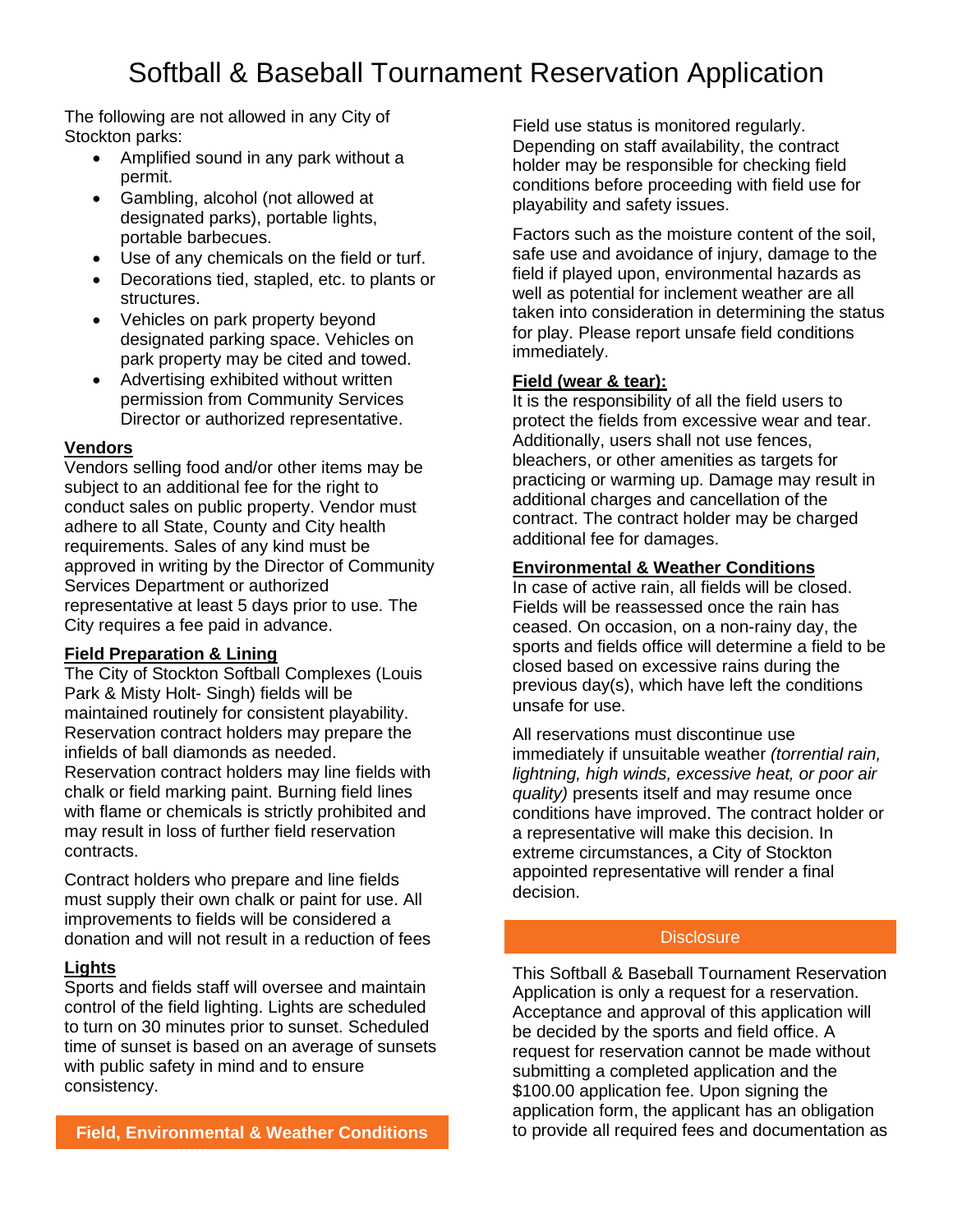The following are not allowed in any City of Stockton parks:

- Amplified sound in any park without a permit.
- Gambling, alcohol (not allowed at designated parks), portable lights, portable barbecues.
- Use of any chemicals on the field or turf.
- Decorations tied, stapled, etc. to plants or structures.
- Vehicles on park property beyond designated parking space. Vehicles on park property may be cited and towed.
- Advertising exhibited without written permission from Community Services Director or authorized representative.

#### **Vendors**

Vendors selling food and/or other items may be subject to an additional fee for the right to conduct sales on public property. Vendor must adhere to all State, County and City health requirements. Sales of any kind must be approved in writing by the Director of Community Services Department or authorized representative at least 5 days prior to use. The City requires a fee paid in advance.

#### **Field Preparation & Lining**

The City of Stockton Softball Complexes (Louis Park & Misty Holt- Singh) fields will be maintained routinely for consistent playability. Reservation contract holders may prepare the infields of ball diamonds as needed. Reservation contract holders may line fields with chalk or field marking paint. Burning field lines with flame or chemicals is strictly prohibited and may result in loss of further field reservation contracts.

Contract holders who prepare and line fields must supply their own chalk or paint for use. All improvements to fields will be considered a donation and will not result in a reduction of fees

#### **Lights**

Sports and fields staff will oversee and maintain control of the field lighting. Lights are scheduled to turn on 30 minutes prior to sunset. Scheduled time of sunset is based on an average of sunsets with public safety in mind and to ensure consistency.

Field use status is monitored regularly. Depending on staff availability, the contract holder may be responsible for checking field conditions before proceeding with field use for playability and safety issues.

Factors such as the moisture content of the soil, safe use and avoidance of injury, damage to the field if played upon, environmental hazards as well as potential for inclement weather are all taken into consideration in determining the status for play. Please report unsafe field conditions immediately.

#### **Field (wear & tear):**

It is the responsibility of all the field users to protect the fields from excessive wear and tear. Additionally, users shall not use fences, bleachers, or other amenities as targets for practicing or warming up. Damage may result in additional charges and cancellation of the contract. The contract holder may be charged additional fee for damages.

#### **Environmental & Weather Conditions**

In case of active rain, all fields will be closed. Fields will be reassessed once the rain has ceased. On occasion, on a non-rainy day, the sports and fields office will determine a field to be closed based on excessive rains during the previous day(s), which have left the conditions unsafe for use.

All reservations must discontinue use immediately if unsuitable weather *(torrential rain, lightning, high winds, excessive heat, or poor air quality)* presents itself and may resume once conditions have improved. The contract holder or a representative will make this decision. In extreme circumstances, a City of Stockton appointed representative will render a final decision.

#### **Disclosure**

This Softball & Baseball Tournament Reservation Application is only a request for a reservation. Acceptance and approval of this application will be decided by the sports and field office. A request for reservation cannot be made without submitting a completed application and the \$100.00 application fee. Upon signing the application form, the applicant has an obligation to provide all required fees and documentation as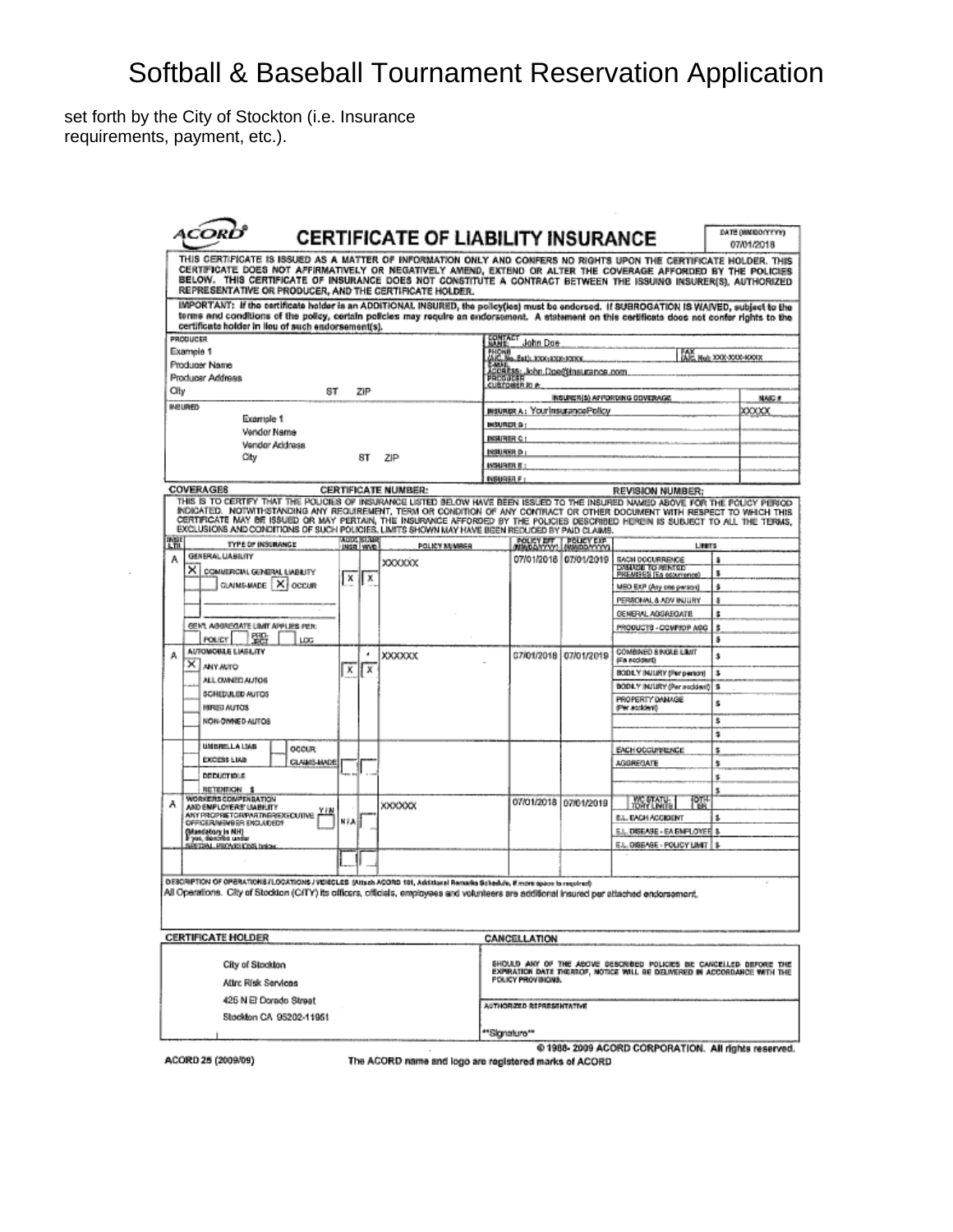set forth by the City of Stockton (i.e. Insurance requirements, payment, etc.).

|                                                                                                                                                                                                                                                                                                                                                                                                                                                                                                   |                                  | <b>CERTIFICATE OF LIABILITY INSURANCE</b> |                    |                                       |                                                                |                                                                                                                                                |         | DATE DIMIDORY YYY<br>07/01/2018 |
|---------------------------------------------------------------------------------------------------------------------------------------------------------------------------------------------------------------------------------------------------------------------------------------------------------------------------------------------------------------------------------------------------------------------------------------------------------------------------------------------------|----------------------------------|-------------------------------------------|--------------------|---------------------------------------|----------------------------------------------------------------|------------------------------------------------------------------------------------------------------------------------------------------------|---------|---------------------------------|
| THIS CERTIFICATE IS ISSUED AS A MATTER OF INFORMATION ONLY AND CONFERS NO RIGHTS UPON THE CERTIFICATE HOLDER. THIS<br>CERTIFICATE DOES NOT AFFIRMATIVELY OR NEGATIVELY AMEND, EXTEND OR ALTER THE COVERAGE AFFORDED BY THE POLICIES<br>BELOW. THIS CERTIFICATE OF INSURANCE DOES NOT CONSTITUTE A CONTRACT BETWEEN THE ISSUING INSURER(S), AUTHORIZED<br>REPRESENTATIVE OR PRODUCER, AND THE CERTIFICATE HOLDER.                                                                                  |                                  |                                           |                    |                                       |                                                                |                                                                                                                                                |         |                                 |
| IMPORTANT: if the certificate holder is an ADDITIONAL INSURED, the policy(les) must be endorsed. If SUBROGATION IS WAIVED, subject to the<br>terms and conditions of the policy, certain policies may require an endorsement. A statement on this certificate does not confer rights to the<br>certificate holder in lieu of such endorsement(s).                                                                                                                                                 |                                  |                                           |                    |                                       |                                                                |                                                                                                                                                |         |                                 |
| PRODUCER                                                                                                                                                                                                                                                                                                                                                                                                                                                                                          |                                  |                                           |                    | <b>SWALL</b> John Doe                 |                                                                |                                                                                                                                                |         |                                 |
| Example 1<br>Producer Name                                                                                                                                                                                                                                                                                                                                                                                                                                                                        |                                  |                                           |                    | PHONE<br>ANC. No. Ext): XXX:1XX:3XXXX |                                                                | ALC: Hely 3000-3000-4001X                                                                                                                      |         |                                 |
| Producer Address                                                                                                                                                                                                                                                                                                                                                                                                                                                                                  |                                  |                                           |                    |                                       | ACORESS: "John Dae@insurance.com.<br>PRCOUCER<br>CUBTOBER IO & |                                                                                                                                                |         |                                 |
| City<br>8T                                                                                                                                                                                                                                                                                                                                                                                                                                                                                        | ZIP                              |                                           |                    |                                       |                                                                |                                                                                                                                                |         |                                 |
| <b>INSURED</b>                                                                                                                                                                                                                                                                                                                                                                                                                                                                                    |                                  |                                           |                    |                                       | INSURIER A: YourInsurancePolicy                                | INSURCH(S) APPORTING COVERAGE                                                                                                                  |         | <b>NAIG #</b>                   |
| Example 1                                                                                                                                                                                                                                                                                                                                                                                                                                                                                         |                                  |                                           | INSURER &:         |                                       |                                                                |                                                                                                                                                |         | XXXXX                           |
| Vendor Name                                                                                                                                                                                                                                                                                                                                                                                                                                                                                       |                                  |                                           | <b>INSURER C I</b> |                                       |                                                                |                                                                                                                                                |         |                                 |
| Vendor Address                                                                                                                                                                                                                                                                                                                                                                                                                                                                                    |                                  |                                           | INSURER D          |                                       |                                                                |                                                                                                                                                |         |                                 |
| City                                                                                                                                                                                                                                                                                                                                                                                                                                                                                              | 8T                               | ZIP                                       | INSURER E:         |                                       |                                                                |                                                                                                                                                |         |                                 |
|                                                                                                                                                                                                                                                                                                                                                                                                                                                                                                   |                                  |                                           | <b>INSURER F</b>   |                                       |                                                                |                                                                                                                                                |         |                                 |
| <b>COVERAGES</b>                                                                                                                                                                                                                                                                                                                                                                                                                                                                                  |                                  | <b>CERTIFICATE NUMBER:</b>                |                    |                                       |                                                                | REVISION NUMBER:                                                                                                                               |         |                                 |
| THIS IS TO CERTIFY THAT THE POUCIES OF INSURANCE LISTED BELOW HAVE BEEN ISSUED TO THE INSURED NAMED ABOVE FOR THE POUCY PERIOD<br>INDICATED. NOTWITHSTANDING ANY REQUIREMENT, TERM OR CONDITION OF ANY CONTRACT OR OTHER DOCUMENT WITH RESPECT TO WHICH THIS<br>CERTIFICATE MAY BE ISSUED OR MAY PERTAIN, THE INSURVINCE AFFORDED BY THE POLICIES DESCRIBED HEREIN IS SUBJECT TO ALL THE TERMS,<br>EXCLUSIONS AND CONDITIONS OF SUCH POLICIES, LIMITS SHOWN MAY HAVE BEEN REDUCED BY PAID CLAIMS. |                                  |                                           |                    |                                       |                                                                |                                                                                                                                                |         |                                 |
| 職<br><b>TYPE OF INSURANCE</b>                                                                                                                                                                                                                                                                                                                                                                                                                                                                     | <b>AUDI ISUMR</b><br>INSR WVD    | POLICY NUMBER                             |                    |                                       | POLICY BREAD POLICY EXP                                        | Linuxs-                                                                                                                                        |         |                                 |
| GENERAL LIABILITY<br>А                                                                                                                                                                                                                                                                                                                                                                                                                                                                            |                                  | <b>XXXXXXX</b>                            |                    |                                       | 07/01/2018 07/01/2019                                          | <b>BACH DOCURRENCE</b><br>DAMAGE TO ABATED                                                                                                     | ã       |                                 |
| ×ı<br>COMMERCIAL GENERAL LIABILITY                                                                                                                                                                                                                                                                                                                                                                                                                                                                | $\boldsymbol{\mathsf{x}}$<br>l x |                                           |                    |                                       |                                                                | PREMISES (Ea courrence)                                                                                                                        | s.      |                                 |
| CLAIMS MADE   X   OCCUR                                                                                                                                                                                                                                                                                                                                                                                                                                                                           |                                  |                                           |                    |                                       |                                                                | MEO EXP (Any one person)                                                                                                                       | ŝ       |                                 |
|                                                                                                                                                                                                                                                                                                                                                                                                                                                                                                   |                                  |                                           |                    |                                       |                                                                | PERSONAL & ADV INJURY                                                                                                                          | ā       |                                 |
| GEN'I, AGGREGATE LIMIT APPLIES PER:                                                                                                                                                                                                                                                                                                                                                                                                                                                               |                                  |                                           |                    |                                       |                                                                | GENERAL AGGREGATE                                                                                                                              | \$      |                                 |
| 쨻<br>POLICY<br>LOG                                                                                                                                                                                                                                                                                                                                                                                                                                                                                |                                  |                                           |                    |                                       |                                                                | PRODUCTS - COMPJOP AGG                                                                                                                         | \$<br>ā |                                 |
| AUTOMOBILE LIABILITY<br>$\times$<br><b>ANY ARTO</b>                                                                                                                                                                                                                                                                                                                                                                                                                                               |                                  | XXXXXX                                    |                    |                                       | 07/01/2018 07/01/2019                                          | COMBINED S BIGLE LIMIT<br>(Fineccionne)                                                                                                        | \$      |                                 |
| ALL OWNED AUTOS                                                                                                                                                                                                                                                                                                                                                                                                                                                                                   | x<br>ΙX                          |                                           |                    |                                       |                                                                | BODLY INJURY (Per person)                                                                                                                      | \$      |                                 |
| SCHIEDULED AUTOS                                                                                                                                                                                                                                                                                                                                                                                                                                                                                  |                                  |                                           |                    |                                       |                                                                | BODE.Y INJURY (Per accident)                                                                                                                   | з       |                                 |
| HIRGIO AUTOS                                                                                                                                                                                                                                                                                                                                                                                                                                                                                      |                                  |                                           |                    |                                       |                                                                | PROPERTY DANAGE<br>dPer accident)                                                                                                              | ŝ       |                                 |
| NON-DWNED-AUTOS                                                                                                                                                                                                                                                                                                                                                                                                                                                                                   |                                  |                                           |                    |                                       |                                                                |                                                                                                                                                | з       |                                 |
|                                                                                                                                                                                                                                                                                                                                                                                                                                                                                                   |                                  |                                           |                    |                                       |                                                                |                                                                                                                                                | \$      |                                 |
| <b>UNIBRELLA LIAB</b><br>OCCUR                                                                                                                                                                                                                                                                                                                                                                                                                                                                    |                                  |                                           |                    |                                       |                                                                | EACH OCCUPRENCE                                                                                                                                | \$      |                                 |
| EXCESS LIAIS<br>CLANS MADE                                                                                                                                                                                                                                                                                                                                                                                                                                                                        |                                  |                                           |                    |                                       |                                                                | <b>AGGREGATE</b>                                                                                                                               | \$      |                                 |
| <b>DEDUCTIOLS</b>                                                                                                                                                                                                                                                                                                                                                                                                                                                                                 |                                  |                                           |                    |                                       |                                                                |                                                                                                                                                | s,      |                                 |
| RETENTION \$<br>WORKERS COMPENSATION                                                                                                                                                                                                                                                                                                                                                                                                                                                              |                                  |                                           |                    |                                       |                                                                |                                                                                                                                                | \$      |                                 |
| AND EMPLOYERS' UABILITY<br>YFN<br>ANY PROPRIETOR/PARTNER/EXECUTIVE                                                                                                                                                                                                                                                                                                                                                                                                                                |                                  | XXXXXXX                                   |                    |                                       | 07/01/2018 07/01/2019                                          | <b>MC STATU-</b><br>PW                                                                                                                         |         |                                 |
| OFFICER/MENBER ENCLUDED?                                                                                                                                                                                                                                                                                                                                                                                                                                                                          | NIAE                             |                                           |                    |                                       |                                                                | E.L. EACH ACCIDENT                                                                                                                             | \$      |                                 |
| Mandatory in NH)<br>yas, dencribe under                                                                                                                                                                                                                                                                                                                                                                                                                                                           |                                  |                                           |                    |                                       |                                                                | <b>E.L. DISEASE - EA EMPLOYER &amp;</b>                                                                                                        |         |                                 |
| SERTIML FROM SIDNS below                                                                                                                                                                                                                                                                                                                                                                                                                                                                          |                                  |                                           |                    |                                       |                                                                | E.L. DISEASE - POLICY LIMIT                                                                                                                    |         |                                 |
|                                                                                                                                                                                                                                                                                                                                                                                                                                                                                                   |                                  |                                           |                    |                                       |                                                                |                                                                                                                                                |         |                                 |
| DESCRIPTION OF OPERATIONS / LOCATIONS / VEHICLES (Attack ACORD 19), Additional Remarks Schedule, If more space to required)<br>All Operations. City of Stockton (C/ITY) its officers, officials, employees and volunteers are additional insured per attached endorsement.                                                                                                                                                                                                                        |                                  |                                           |                    |                                       |                                                                |                                                                                                                                                |         |                                 |
| <b>CERTIFICATE HOLDER</b>                                                                                                                                                                                                                                                                                                                                                                                                                                                                         |                                  |                                           |                    | CANCELLATION                          |                                                                |                                                                                                                                                |         |                                 |
| City of Stockton                                                                                                                                                                                                                                                                                                                                                                                                                                                                                  |                                  |                                           |                    |                                       |                                                                | SHOULD ANY OF THE ABOVE DESCRIBED POLICIES BE CANCELLED BEFORE THE<br>EXPIRATION DATE THEREOF, MOTICE WILL BE DELIVERED IN ACCORDANCE WITH THE |         |                                 |
| Attr: Risk Services                                                                                                                                                                                                                                                                                                                                                                                                                                                                               |                                  |                                           |                    | POLICY PROVISIONS.                    |                                                                |                                                                                                                                                |         |                                 |
| 425 N El Dorado Street                                                                                                                                                                                                                                                                                                                                                                                                                                                                            |                                  |                                           |                    | AUTHORIZED REPRESENTATIVE             |                                                                |                                                                                                                                                |         |                                 |
|                                                                                                                                                                                                                                                                                                                                                                                                                                                                                                   |                                  |                                           |                    |                                       |                                                                |                                                                                                                                                |         |                                 |
| Stockton CA 95202-11951                                                                                                                                                                                                                                                                                                                                                                                                                                                                           |                                  |                                           |                    |                                       |                                                                |                                                                                                                                                |         |                                 |

ACORD 25 (2009/09)

 $\cdot$ 

The ACORD name and logo are registered marks of ACORD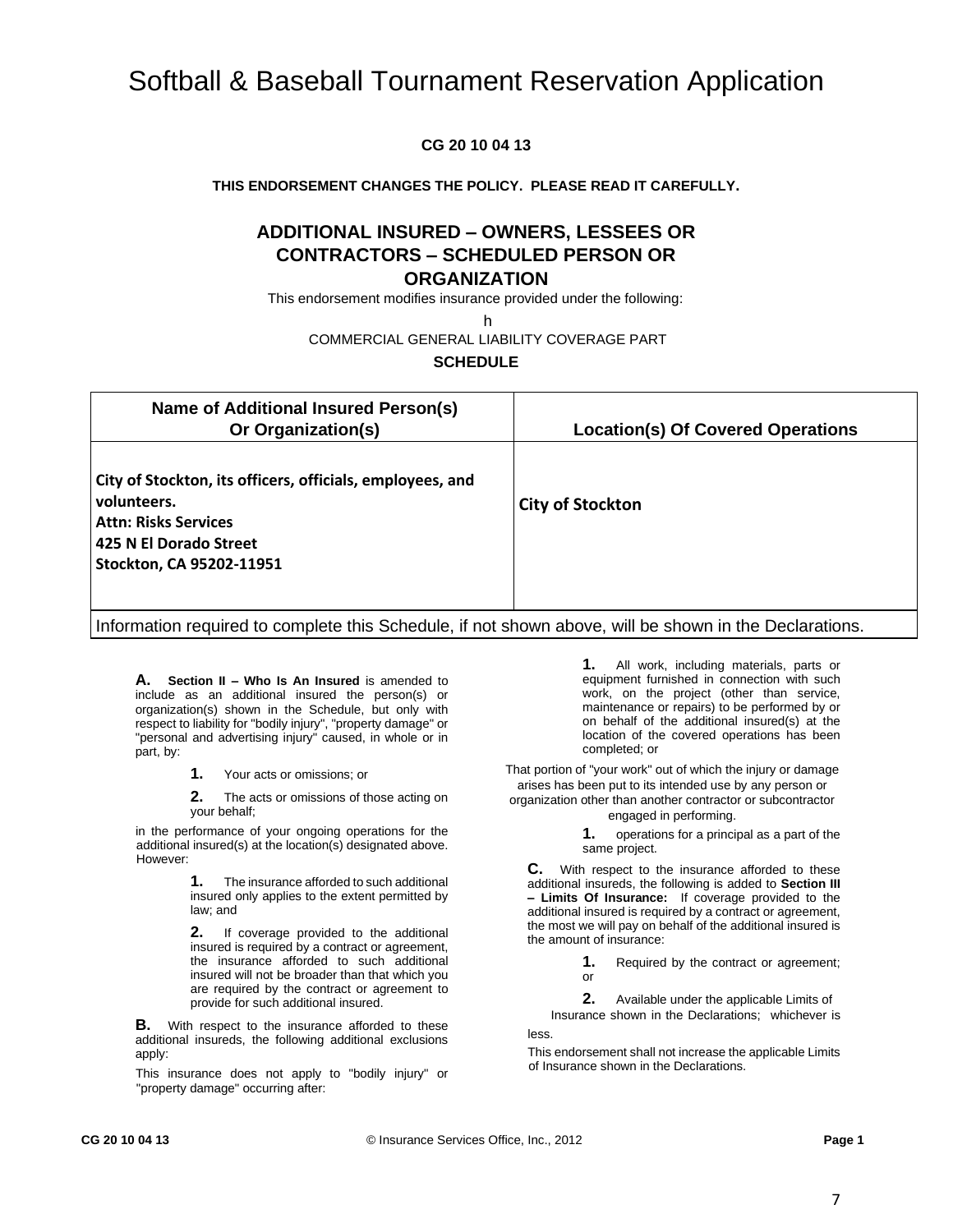#### **CG 20 10 04 13**

#### **THIS ENDORSEMENT CHANGES THE POLICY. PLEASE READ IT CAREFULLY.**

#### **ADDITIONAL INSURED – OWNERS, LESSEES OR CONTRACTORS – SCHEDULED PERSON OR ORGANIZATION**

This endorsement modifies insurance provided under the following:

h

#### COMMERCIAL GENERAL LIABILITY COVERAGE PART

#### **SCHEDULE**

| Name of Additional Insured Person(s)<br>Or Organization(s)                                                                                                    | <b>Location(s) Of Covered Operations</b> |
|---------------------------------------------------------------------------------------------------------------------------------------------------------------|------------------------------------------|
| City of Stockton, its officers, officials, employees, and<br>volunteers.<br><b>Attn: Risks Services</b><br>425 N El Dorado Street<br>Stockton, CA 95202-11951 | <b>City of Stockton</b>                  |

Information required to complete this Schedule, if not shown above, will be shown in the Declarations.

**A. Section II – Who Is An Insured** is amended to include as an additional insured the person(s) or organization(s) shown in the Schedule, but only with respect to liability for "bodily injury", "property damage" or "personal and advertising injury" caused, in whole or in part, by:

**1.** Your acts or omissions; or

**2.** The acts or omissions of those acting on your behalf;

in the performance of your ongoing operations for the additional insured(s) at the location(s) designated above. However:

> **1.** The insurance afforded to such additional insured only applies to the extent permitted by law; and

> **2.** If coverage provided to the additional insured is required by a contract or agreement, the insurance afforded to such additional insured will not be broader than that which you are required by the contract or agreement to provide for such additional insured.

**B.** With respect to the insurance afforded to these additional insureds, the following additional exclusions apply:

This insurance does not apply to "bodily injury" or "property damage" occurring after:

**1.** All work, including materials, parts or equipment furnished in connection with such work, on the project (other than service, maintenance or repairs) to be performed by or on behalf of the additional insured(s) at the location of the covered operations has been completed; or

That portion of "your work" out of which the injury or damage arises has been put to its intended use by any person or

organization other than another contractor or subcontractor engaged in performing.

**1.** operations for a principal as a part of the same project.

**C.** With respect to the insurance afforded to these additional insureds, the following is added to **Section III – Limits Of Insurance:** If coverage provided to the additional insured is required by a contract or agreement, the most we will pay on behalf of the additional insured is the amount of insurance:

> **1.** Required by the contract or agreement; or

**2.** Available under the applicable Limits of Insurance shown in the Declarations;whichever is

less.

This endorsement shall not increase the applicable Limits of Insurance shown in the Declarations.